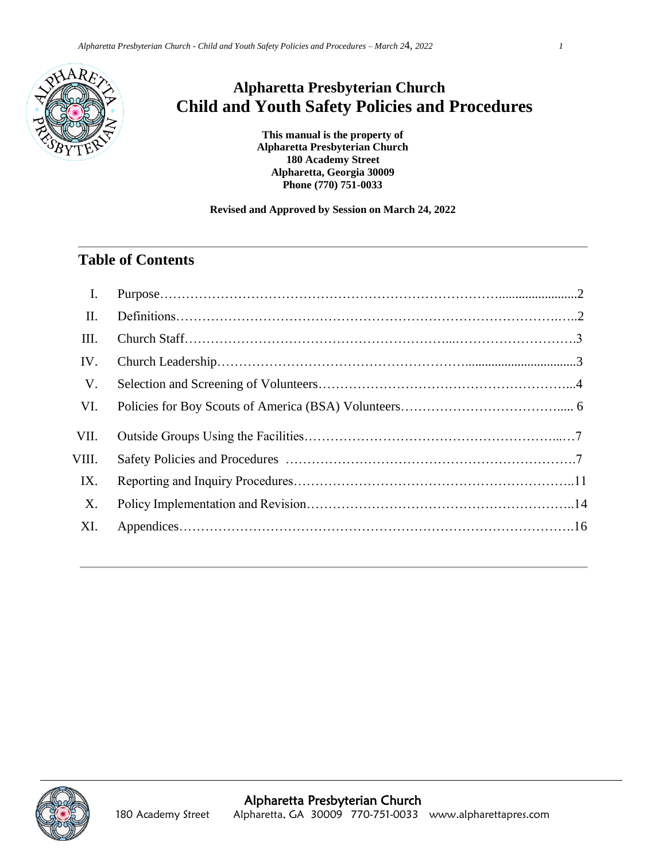

## **Alpharetta Presbyterian Church Child and Youth Safety Policies and Procedures**

**This manual is the property of Alpharetta Presbyterian Church 180 Academy Street Alpharetta, Georgia 30009 Phone (770) 751-0033**

#### **Revised and Approved by Session on March 24, 2022**

#### **Table of Contents**

| $\mathbf{I}$ . |  |
|----------------|--|
| II.            |  |
| III.           |  |
| IV.            |  |
| V.             |  |
| VI.            |  |
| VII.           |  |
| VIII.          |  |
| IX.            |  |
| X.             |  |
| XI.            |  |
|                |  |

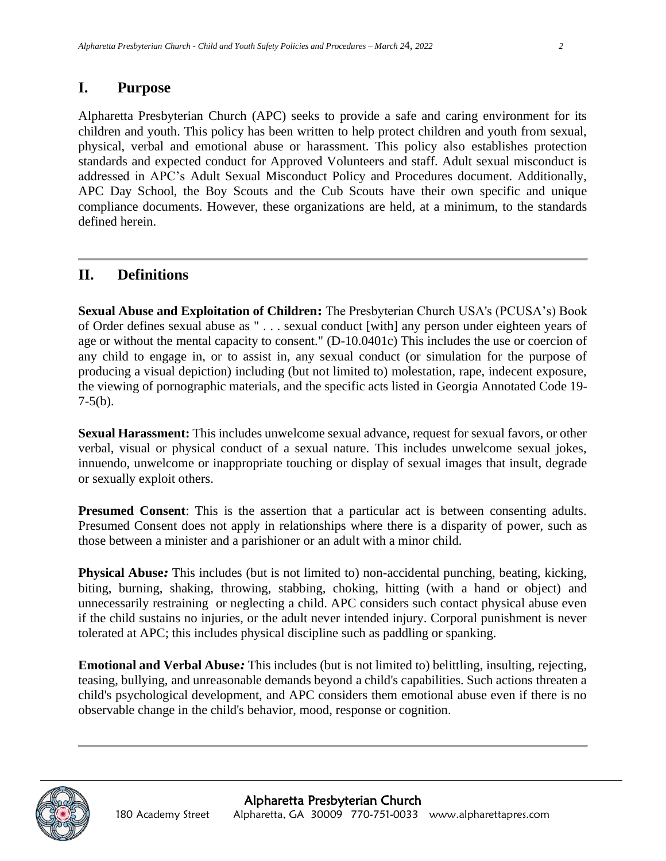#### **I. Purpose**

Alpharetta Presbyterian Church (APC) seeks to provide a safe and caring environment for its children and youth. This policy has been written to help protect children and youth from sexual, physical, verbal and emotional abuse or harassment. This policy also establishes protection standards and expected conduct for Approved Volunteers and staff. Adult sexual misconduct is addressed in APC's Adult Sexual Misconduct Policy and Procedures document. Additionally, APC Day School, the Boy Scouts and the Cub Scouts have their own specific and unique compliance documents. However, these organizations are held, at a minimum, to the standards defined herein.

#### **II. Definitions**

**Sexual Abuse and Exploitation of Children:** The Presbyterian Church USA's (PCUSA's) Book of Order defines sexual abuse as " . . . sexual conduct [with] any person under eighteen years of age or without the mental capacity to consent." (D-10.0401c) This includes the use or coercion of any child to engage in, or to assist in, any sexual conduct (or simulation for the purpose of producing a visual depiction) including (but not limited to) molestation, rape, indecent exposure, the viewing of pornographic materials, and the specific acts listed in Georgia Annotated Code 19-  $7-5(b)$ .

**Sexual Harassment:** This includes unwelcome sexual advance, request for sexual favors, or other verbal, visual or physical conduct of a sexual nature. This includes unwelcome sexual jokes, innuendo, unwelcome or inappropriate touching or display of sexual images that insult, degrade or sexually exploit others.

**Presumed Consent**: This is the assertion that a particular act is between consenting adults. Presumed Consent does not apply in relationships where there is a disparity of power, such as those between a minister and a parishioner or an adult with a minor child.

**Physical Abuse***:* This includes (but is not limited to) non-accidental punching, beating, kicking, biting, burning, shaking, throwing, stabbing, choking, hitting (with a hand or object) and unnecessarily restraining or neglecting a child. APC considers such contact physical abuse even if the child sustains no injuries, or the adult never intended injury. Corporal punishment is never tolerated at APC; this includes physical discipline such as paddling or spanking.

**Emotional and Verbal Abuse***:* This includes (but is not limited to) belittling, insulting, rejecting, teasing, bullying, and unreasonable demands beyond a child's capabilities. Such actions threaten a child's psychological development, and APC considers them emotional abuse even if there is no observable change in the child's behavior, mood, response or cognition.

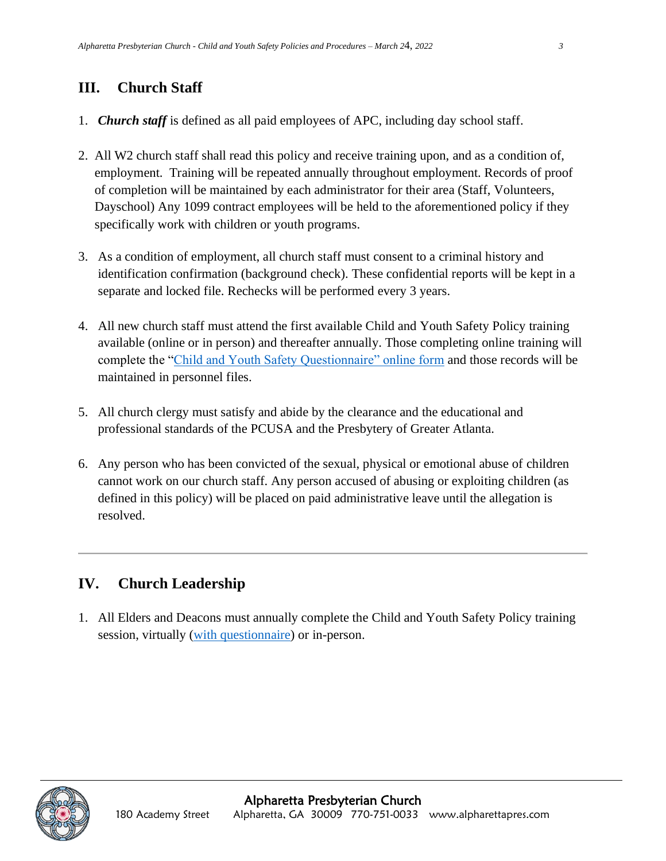## **III. Church Staff**

- 1. *Church staff* is defined as all paid employees of APC, including day school staff.
- 2. All W2 church staff shall read this policy and receive training upon, and as a condition of, employment. Training will be repeated annually throughout employment. Records of proof of completion will be maintained by each administrator for their area (Staff, Volunteers, Dayschool) Any 1099 contract employees will be held to the aforementioned policy if they specifically work with children or youth programs.
- 3. As a condition of employment, all church staff must consent to a criminal history and identification confirmation (background check). These confidential reports will be kept in a separate and locked file. Rechecks will be performed every 3 years.
- 4. All new church staff must attend the first available Child and Youth Safety Policy training available (online or in person) and thereafter annually. Those completing online training will complete the ["Child and Youth Safety Questionnaire" online form](https://forms.office.com/Pages/ResponsePage.aspx?id=XENLTiQN70iz8eLTKhb2QYPqPhGg8G1Cm-yf0pLYC7xUQkpOVUNEOElNRDhENVMxUjhBUjZIQ09QRy4u) and those records will be maintained in personnel files.
- 5. All church clergy must satisfy and abide by the clearance and the educational and professional standards of the PCUSA and the Presbytery of Greater Atlanta.
- 6. Any person who has been convicted of the sexual, physical or emotional abuse of children cannot work on our church staff. Any person accused of abusing or exploiting children (as defined in this policy) will be placed on paid administrative leave until the allegation is resolved.

### **IV. Church Leadership**

1. All Elders and Deacons must annually complete the Child and Youth Safety Policy training session, virtually [\(with questionnaire\)](https://forms.office.com/Pages/ResponsePage.aspx?id=XENLTiQN70iz8eLTKhb2QYPqPhGg8G1Cm-yf0pLYC7xUQkpOVUNEOElNRDhENVMxUjhBUjZIQ09QRy4u) or in-person.

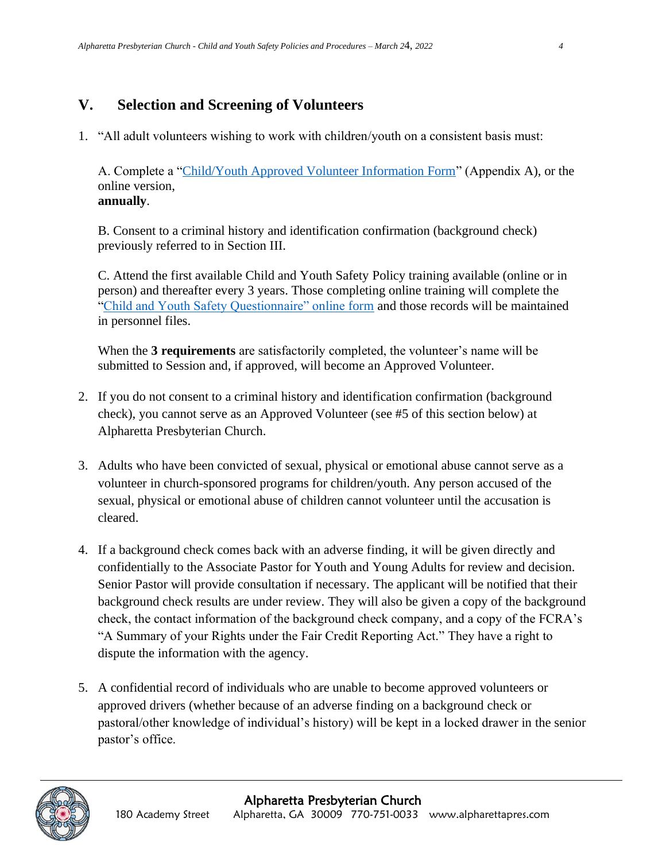### **V. Selection and Screening of Volunteers**

1. "All adult volunteers wishing to work with children/youth on a consistent basis must:

A. Complete a ["Child/Youth Approved Volunteer Information Form"](https://forms.office.com/Pages/ResponsePage.aspx?id=XENLTiQN70iz8eLTKhb2QZ-3cbjDyPhIpglbtWX2a6pUQlk5VjQwNVJTREVVQVQ2MUNYRlpDSlEyQy4u) (Appendix A), or the online version, **annually**.

B. Consent to a criminal history and identification confirmation (background check) previously referred to in Section III.

C. Attend the first available Child and Youth Safety Policy training available (online or in person) and thereafter every 3 years. Those completing online training will complete the ["Child and Youth Safety Questionnaire" online form](https://forms.office.com/Pages/ResponsePage.aspx?id=XENLTiQN70iz8eLTKhb2QYPqPhGg8G1Cm-yf0pLYC7xUQkpOVUNEOElNRDhENVMxUjhBUjZIQ09QRy4u) and those records will be maintained in personnel files.

When the **3 requirements** are satisfactorily completed, the volunteer's name will be submitted to Session and, if approved, will become an Approved Volunteer.

- 2. If you do not consent to a criminal history and identification confirmation (background check), you cannot serve as an Approved Volunteer (see #5 of this section below) at Alpharetta Presbyterian Church.
- 3. Adults who have been convicted of sexual, physical or emotional abuse cannot serve as a volunteer in church-sponsored programs for children/youth. Any person accused of the sexual, physical or emotional abuse of children cannot volunteer until the accusation is cleared.
- 4. If a background check comes back with an adverse finding, it will be given directly and confidentially to the Associate Pastor for Youth and Young Adults for review and decision. Senior Pastor will provide consultation if necessary. The applicant will be notified that their background check results are under review. They will also be given a copy of the background check, the contact information of the background check company, and a copy of the FCRA's "A Summary of your Rights under the Fair Credit Reporting Act." They have a right to dispute the information with the agency.
- 5. A confidential record of individuals who are unable to become approved volunteers or approved drivers (whether because of an adverse finding on a background check or pastoral/other knowledge of individual's history) will be kept in a locked drawer in the senior pastor's office.

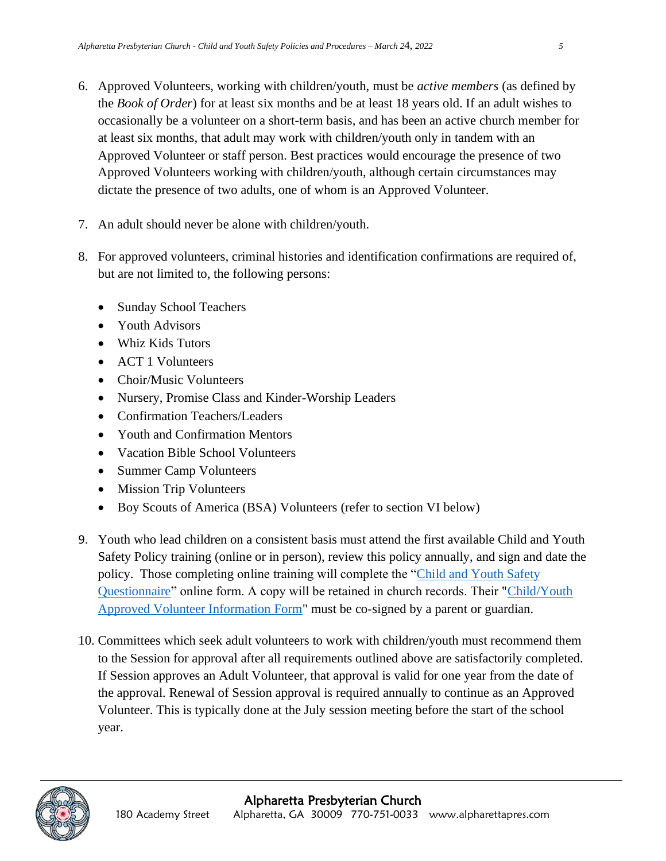- 6. Approved Volunteers, working with children/youth, must be *active members* (as defined by the *Book of Order*) for at least six months and be at least 18 years old. If an adult wishes to occasionally be a volunteer on a short-term basis, and has been an active church member for at least six months, that adult may work with children/youth only in tandem with an Approved Volunteer or staff person. Best practices would encourage the presence of two Approved Volunteers working with children/youth, although certain circumstances may dictate the presence of two adults, one of whom is an Approved Volunteer.
- 7. An adult should never be alone with children/youth.
- 8. For approved volunteers, criminal histories and identification confirmations are required of, but are not limited to, the following persons:
	- Sunday School Teachers
	- Youth Advisors
	- Whiz Kids Tutors
	- ACT 1 Volunteers
	- Choir/Music Volunteers
	- Nursery, Promise Class and Kinder-Worship Leaders
	- Confirmation Teachers/Leaders
	- Youth and Confirmation Mentors
	- Vacation Bible School Volunteers
	- Summer Camp Volunteers
	- Mission Trip Volunteers
	- Boy Scouts of America (BSA) Volunteers (refer to section VI below)
- 9. Youth who lead children on a consistent basis must attend the first available Child and Youth Safety Policy training (online or in person), review this policy annually, and sign and date the policy. Those completing online training will complete the ["Child and Youth Safety](https://forms.office.com/Pages/ResponsePage.aspx?id=XENLTiQN70iz8eLTKhb2QYPqPhGg8G1Cm-yf0pLYC7xUQkpOVUNEOElNRDhENVMxUjhBUjZIQ09QRy4u)  [Questionnaire"](https://forms.office.com/Pages/ResponsePage.aspx?id=XENLTiQN70iz8eLTKhb2QYPqPhGg8G1Cm-yf0pLYC7xUQkpOVUNEOElNRDhENVMxUjhBUjZIQ09QRy4u) online form. A copy will be retained in church records. Their ["Child/Youth](https://forms.office.com/Pages/ResponsePage.aspx?id=XENLTiQN70iz8eLTKhb2QZ-3cbjDyPhIpglbtWX2a6pUQlk5VjQwNVJTREVVQVQ2MUNYRlpDSlEyQy4u)  [Approved Volunteer Information Form"](https://forms.office.com/Pages/ResponsePage.aspx?id=XENLTiQN70iz8eLTKhb2QZ-3cbjDyPhIpglbtWX2a6pUQlk5VjQwNVJTREVVQVQ2MUNYRlpDSlEyQy4u) must be co-signed by a parent or guardian.
- 10. Committees which seek adult volunteers to work with children/youth must recommend them to the Session for approval after all requirements outlined above are satisfactorily completed. If Session approves an Adult Volunteer, that approval is valid for one year from the date of the approval. Renewal of Session approval is required annually to continue as an Approved Volunteer. This is typically done at the July session meeting before the start of the school year.

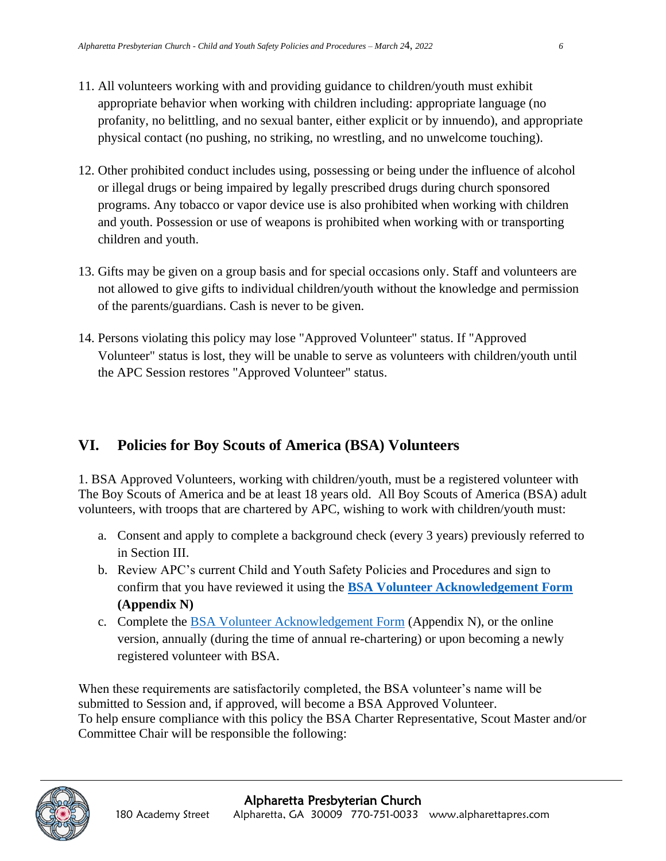- 11. All volunteers working with and providing guidance to children/youth must exhibit appropriate behavior when working with children including: appropriate language (no profanity, no belittling, and no sexual banter, either explicit or by innuendo), and appropriate physical contact (no pushing, no striking, no wrestling, and no unwelcome touching).
- 12. Other prohibited conduct includes using, possessing or being under the influence of alcohol or illegal drugs or being impaired by legally prescribed drugs during church sponsored programs. Any tobacco or vapor device use is also prohibited when working with children and youth. Possession or use of weapons is prohibited when working with or transporting children and youth.
- 13. Gifts may be given on a group basis and for special occasions only. Staff and volunteers are not allowed to give gifts to individual children/youth without the knowledge and permission of the parents/guardians. Cash is never to be given.
- 14. Persons violating this policy may lose "Approved Volunteer" status. If "Approved Volunteer" status is lost, they will be unable to serve as volunteers with children/youth until the APC Session restores "Approved Volunteer" status.

## **VI. Policies for Boy Scouts of America (BSA) Volunteers**

1. BSA Approved Volunteers, working with children/youth, must be a registered volunteer with The Boy Scouts of America and be at least 18 years old. All Boy Scouts of America (BSA) adult volunteers, with troops that are chartered by APC, wishing to work with children/youth must:

- a. Consent and apply to complete a background check (every 3 years) previously referred to in Section III.
- b. Review APC's current Child and Youth Safety Policies and Procedures and sign to confirm that you have reviewed it using the **[BSA Volunteer Acknowledgement Form](https://forms.office.com/Pages/ResponsePage.aspx?id=XENLTiQN70iz8eLTKhb2QZ-3cbjDyPhIpglbtWX2a6pUQzBWVVI0UlhaNzdJTTBNWERWOFpBQVE4WS4u) (Appendix N)**
- c. Complete the [BSA Volunteer Acknowledgement Form](https://forms.office.com/Pages/ResponsePage.aspx?id=XENLTiQN70iz8eLTKhb2QZ-3cbjDyPhIpglbtWX2a6pUQzBWVVI0UlhaNzdJTTBNWERWOFpBQVE4WS4u) (Appendix N), or the online version, annually (during the time of annual re-chartering) or upon becoming a newly registered volunteer with BSA.

When these requirements are satisfactorily completed, the BSA volunteer's name will be submitted to Session and, if approved, will become a BSA Approved Volunteer. To help ensure compliance with this policy the BSA Charter Representative, Scout Master and/or Committee Chair will be responsible the following:

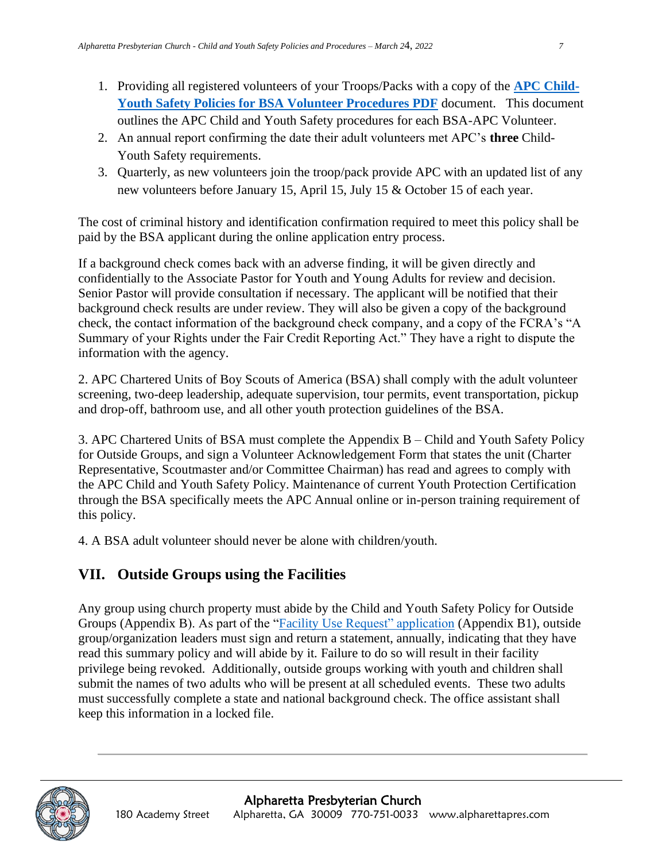- 1. Providing all registered volunteers of your Troops/Packs with a copy of the **[APC Child-](file:///C:/Users/kari/OneDrive%20-%20Alpharetta%20Presbyterian%20Church/Shared%20Documents/Children)[Youth Safety Policies for BSA Volunteer Procedures PDF](file:///C:/Users/kari/OneDrive%20-%20Alpharetta%20Presbyterian%20Church/Shared%20Documents/Children)** document. This document outlines the APC Child and Youth Safety procedures for each BSA-APC Volunteer.
- 2. An annual report confirming the date their adult volunteers met APC's **three** Child-Youth Safety requirements.
- 3. Quarterly, as new volunteers join the troop/pack provide APC with an updated list of any new volunteers before January 15, April 15, July 15 & October 15 of each year.

The cost of criminal history and identification confirmation required to meet this policy shall be paid by the BSA applicant during the online application entry process.

If a background check comes back with an adverse finding, it will be given directly and confidentially to the Associate Pastor for Youth and Young Adults for review and decision. Senior Pastor will provide consultation if necessary. The applicant will be notified that their background check results are under review. They will also be given a copy of the background check, the contact information of the background check company, and a copy of the FCRA's "A Summary of your Rights under the Fair Credit Reporting Act." They have a right to dispute the information with the agency.

2. APC Chartered Units of Boy Scouts of America (BSA) shall comply with the adult volunteer screening, two-deep leadership, adequate supervision, tour permits, event transportation, pickup and drop-off, bathroom use, and all other youth protection guidelines of the BSA.

3. APC Chartered Units of BSA must complete the Appendix B – Child and Youth Safety Policy for Outside Groups, and sign a Volunteer Acknowledgement Form that states the unit (Charter Representative, Scoutmaster and/or Committee Chairman) has read and agrees to comply with the APC Child and Youth Safety Policy. Maintenance of current Youth Protection Certification through the BSA specifically meets the APC Annual online or in-person training requirement of this policy.

4. A BSA adult volunteer should never be alone with children/youth.

# **VII. Outside Groups using the Facilities**

Any group using church property must abide by the Child and Youth Safety Policy for Outside Groups (Appendix B). As part of the ["Facility Use Request" application](https://alpharettapres.sharepoint.com/:w:/g/Eb8YrXGKRC5ChaApI3e0jsUBVxYTKUbM9xvYvUWpl3gNdA?e=nD2HoR) (Appendix B1), outside group/organization leaders must sign and return a statement, annually, indicating that they have read this summary policy and will abide by it. Failure to do so will result in their facility privilege being revoked. Additionally, outside groups working with youth and children shall submit the names of two adults who will be present at all scheduled events. These two adults must successfully complete a state and national background check. The office assistant shall keep this information in a locked file.

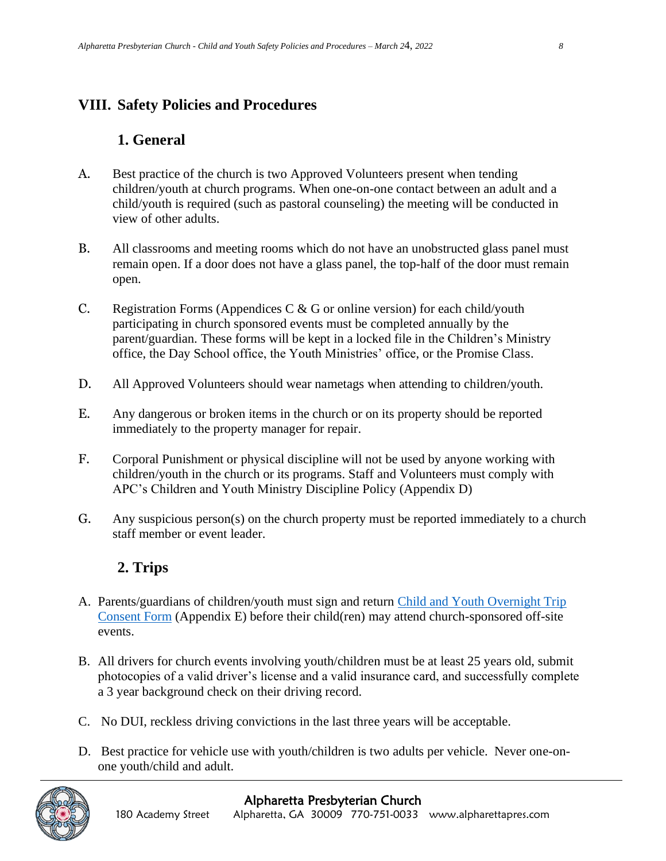#### **VIII. Safety Policies and Procedures**

#### **1. General**

- A. Best practice of the church is two Approved Volunteers present when tending children/youth at church programs. When one-on-one contact between an adult and a child/youth is required (such as pastoral counseling) the meeting will be conducted in view of other adults.
- B. All classrooms and meeting rooms which do not have an unobstructed glass panel must remain open. If a door does not have a glass panel, the top-half of the door must remain open.
- C. Registration Forms (Appendices C  $\&$  G or online version) for each child/youth participating in church sponsored events must be completed annually by the parent/guardian. These forms will be kept in a locked file in the Children's Ministry office, the Day School office, the Youth Ministries' office, or the Promise Class.
- D. All Approved Volunteers should wear nametags when attending to children/youth.
- E. Any dangerous or broken items in the church or on its property should be reported immediately to the property manager for repair.
- F. Corporal Punishment or physical discipline will not be used by anyone working with children/youth in the church or its programs. Staff and Volunteers must comply with APC's Children and Youth Ministry Discipline Policy (Appendix D)
- G. Any suspicious person(s) on the church property must be reported immediately to a church staff member or event leader.

## **2. Trips**

- A. Parents/guardians of children/youth must sign and return [Child and Youth Overnight Trip](https://forms.office.com/Pages/ResponsePage.aspx?id=XENLTiQN70iz8eLTKhb2QZ-3cbjDyPhIpglbtWX2a6pUNjY4RVlXOE5UVlkxSDNLM0tIQVpTTDJURy4u)  [Consent Form](https://forms.office.com/Pages/ResponsePage.aspx?id=XENLTiQN70iz8eLTKhb2QZ-3cbjDyPhIpglbtWX2a6pUNjY4RVlXOE5UVlkxSDNLM0tIQVpTTDJURy4u) (Appendix E) before their child(ren) may attend church-sponsored off-site events.
- B. All drivers for church events involving youth/children must be at least 25 years old, submit photocopies of a valid driver's license and a valid insurance card, and successfully complete a 3 year background check on their driving record.
- C. No DUI, reckless driving convictions in the last three years will be acceptable.
- D. Best practice for vehicle use with youth/children is two adults per vehicle. Never one-onone youth/child and adult.

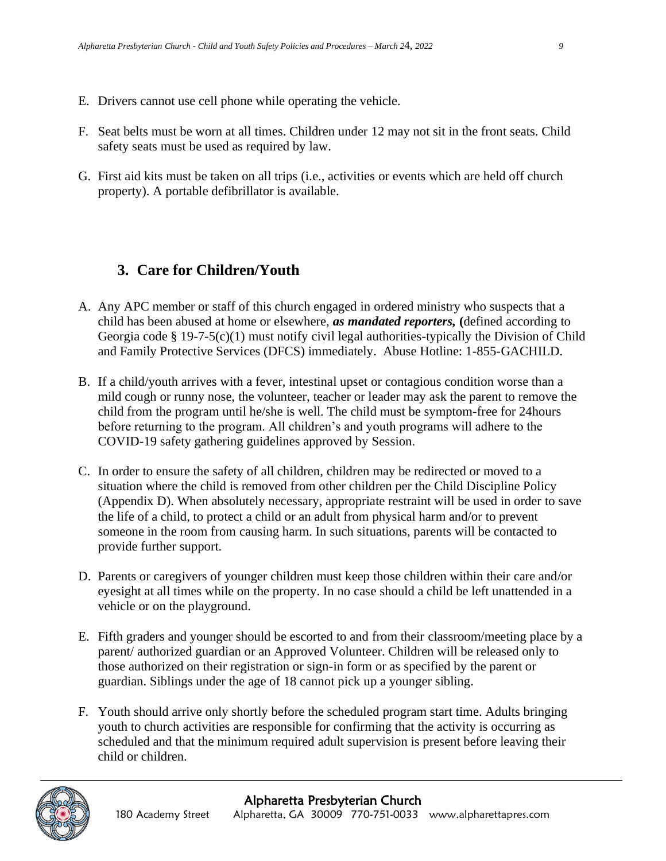- E. Drivers cannot use cell phone while operating the vehicle.
- F. Seat belts must be worn at all times. Children under 12 may not sit in the front seats. Child safety seats must be used as required by law.
- G. First aid kits must be taken on all trips (i.e., activities or events which are held off church property). A portable defibrillator is available.

#### **3. Care for Children/Youth**

- A. Any APC member or staff of this church engaged in ordered ministry who suspects that a child has been abused at home or elsewhere, *as mandated reporters,* **(**defined according to Georgia code § 19-7-5(c)(1) must notify civil legal authorities-typically the Division of Child and Family Protective Services (DFCS) immediately. Abuse Hotline: 1-855-GACHILD.
- B. If a child/youth arrives with a fever, intestinal upset or contagious condition worse than a mild cough or runny nose, the volunteer, teacher or leader may ask the parent to remove the child from the program until he/she is well. The child must be symptom-free for 24hours before returning to the program. All children's and youth programs will adhere to the COVID-19 safety gathering guidelines approved by Session.
- C. In order to ensure the safety of all children, children may be redirected or moved to a situation where the child is removed from other children per the Child Discipline Policy (Appendix D). When absolutely necessary, appropriate restraint will be used in order to save the life of a child, to protect a child or an adult from physical harm and/or to prevent someone in the room from causing harm. In such situations, parents will be contacted to provide further support.
- D. Parents or caregivers of younger children must keep those children within their care and/or eyesight at all times while on the property. In no case should a child be left unattended in a vehicle or on the playground.
- E. Fifth graders and younger should be escorted to and from their classroom/meeting place by a parent/ authorized guardian or an Approved Volunteer. Children will be released only to those authorized on their registration or sign-in form or as specified by the parent or guardian. Siblings under the age of 18 cannot pick up a younger sibling.
- F. Youth should arrive only shortly before the scheduled program start time. Adults bringing youth to church activities are responsible for confirming that the activity is occurring as scheduled and that the minimum required adult supervision is present before leaving their child or children.

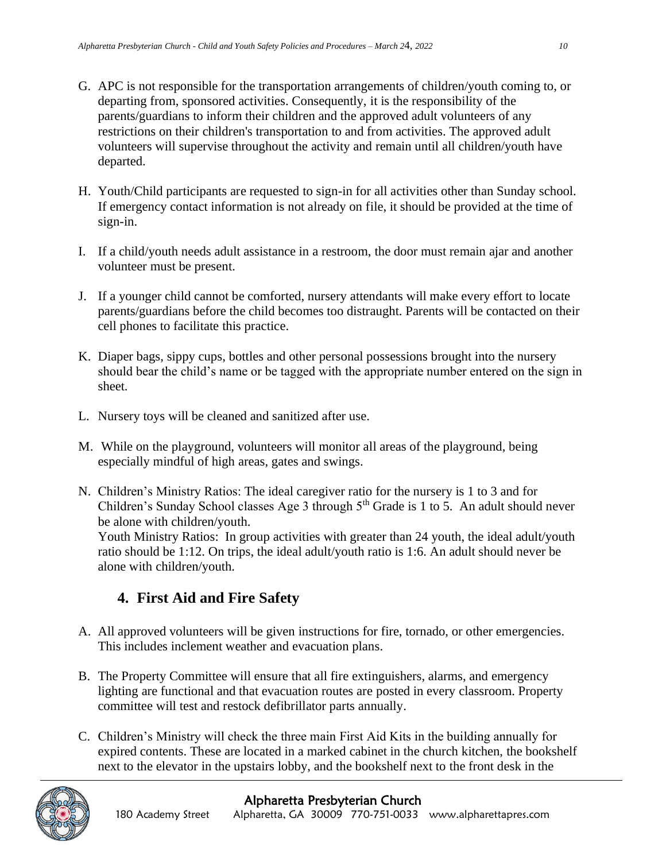- G. APC is not responsible for the transportation arrangements of children/youth coming to, or departing from, sponsored activities. Consequently, it is the responsibility of the parents/guardians to inform their children and the approved adult volunteers of any restrictions on their children's transportation to and from activities. The approved adult volunteers will supervise throughout the activity and remain until all children/youth have departed.
- H. Youth/Child participants are requested to sign-in for all activities other than Sunday school. If emergency contact information is not already on file, it should be provided at the time of sign-in.
- I. If a child/youth needs adult assistance in a restroom, the door must remain ajar and another volunteer must be present.
- J. If a younger child cannot be comforted, nursery attendants will make every effort to locate parents/guardians before the child becomes too distraught. Parents will be contacted on their cell phones to facilitate this practice.
- K. Diaper bags, sippy cups, bottles and other personal possessions brought into the nursery should bear the child's name or be tagged with the appropriate number entered on the sign in sheet.
- L. Nursery toys will be cleaned and sanitized after use.
- M. While on the playground, volunteers will monitor all areas of the playground, being especially mindful of high areas, gates and swings.
- N. Children's Ministry Ratios: The ideal caregiver ratio for the nursery is 1 to 3 and for Children's Sunday School classes Age 3 through  $5<sup>th</sup>$  Grade is 1 to 5. An adult should never be alone with children/youth.

Youth Ministry Ratios: In group activities with greater than 24 youth, the ideal adult/youth ratio should be 1:12. On trips, the ideal adult/youth ratio is 1:6. An adult should never be alone with children/youth.

### **4. First Aid and Fire Safety**

- A. All approved volunteers will be given instructions for fire, tornado, or other emergencies. This includes inclement weather and evacuation plans.
- B. The Property Committee will ensure that all fire extinguishers, alarms, and emergency lighting are functional and that evacuation routes are posted in every classroom. Property committee will test and restock defibrillator parts annually.
- C. Children's Ministry will check the three main First Aid Kits in the building annually for expired contents. These are located in a marked cabinet in the church kitchen, the bookshelf next to the elevator in the upstairs lobby, and the bookshelf next to the front desk in the

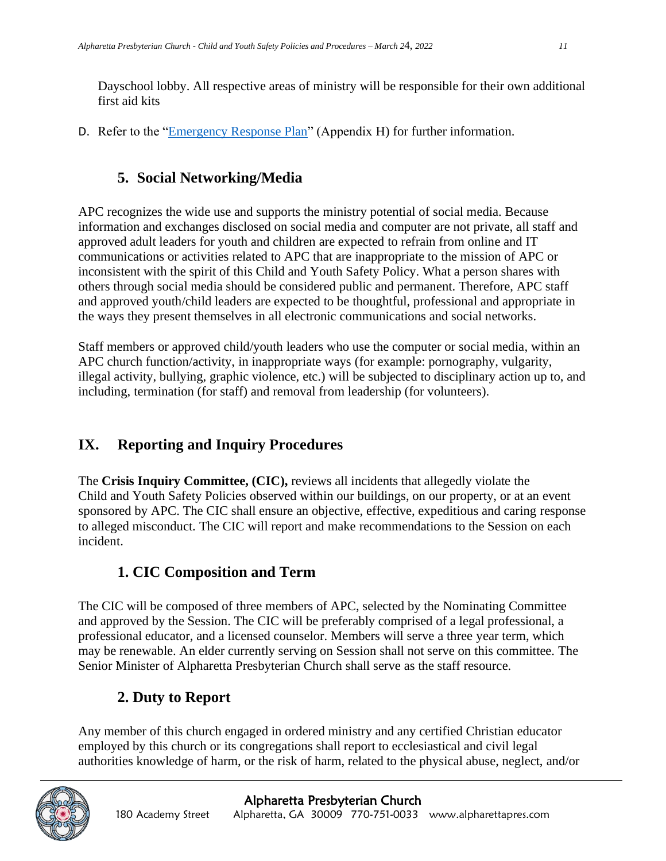Dayschool lobby. All respective areas of ministry will be responsible for their own additional first aid kits

D. Refer to the ["Emergency Response Plan"](https://alpharettapres.sharepoint.com/:w:/g/EUQcSsXiPA9Ghpy_6DlLFfsBPvXJB15uAU2ojs-9l2mjMg?e=sbSPz2) (Appendix H) for further information.

## **5. Social Networking/Media**

APC recognizes the wide use and supports the ministry potential of social media. Because information and exchanges disclosed on social media and computer are not private, all staff and approved adult leaders for youth and children are expected to refrain from online and IT communications or activities related to APC that are inappropriate to the mission of APC or inconsistent with the spirit of this Child and Youth Safety Policy. What a person shares with others through social media should be considered public and permanent. Therefore, APC staff and approved youth/child leaders are expected to be thoughtful, professional and appropriate in the ways they present themselves in all electronic communications and social networks.

Staff members or approved child/youth leaders who use the computer or social media, within an APC church function/activity, in inappropriate ways (for example: pornography, vulgarity, illegal activity, bullying, graphic violence, etc.) will be subjected to disciplinary action up to, and including, termination (for staff) and removal from leadership (for volunteers).

# **IX. Reporting and Inquiry Procedures**

The **Crisis Inquiry Committee, (CIC),** reviews all incidents that allegedly violate the Child and Youth Safety Policies observed within our buildings, on our property, or at an event sponsored by APC. The CIC shall ensure an objective, effective, expeditious and caring response to alleged misconduct. The CIC will report and make recommendations to the Session on each incident.

## **1. CIC Composition and Term**

The CIC will be composed of three members of APC, selected by the Nominating Committee and approved by the Session. The CIC will be preferably comprised of a legal professional, a professional educator, and a licensed counselor. Members will serve a three year term, which may be renewable. An elder currently serving on Session shall not serve on this committee. The Senior Minister of Alpharetta Presbyterian Church shall serve as the staff resource.

## **2. Duty to Report**

Any member of this church engaged in ordered ministry and any certified Christian educator employed by this church or its congregations shall report to ecclesiastical and civil legal authorities knowledge of harm, or the risk of harm, related to the physical abuse, neglect, and/or

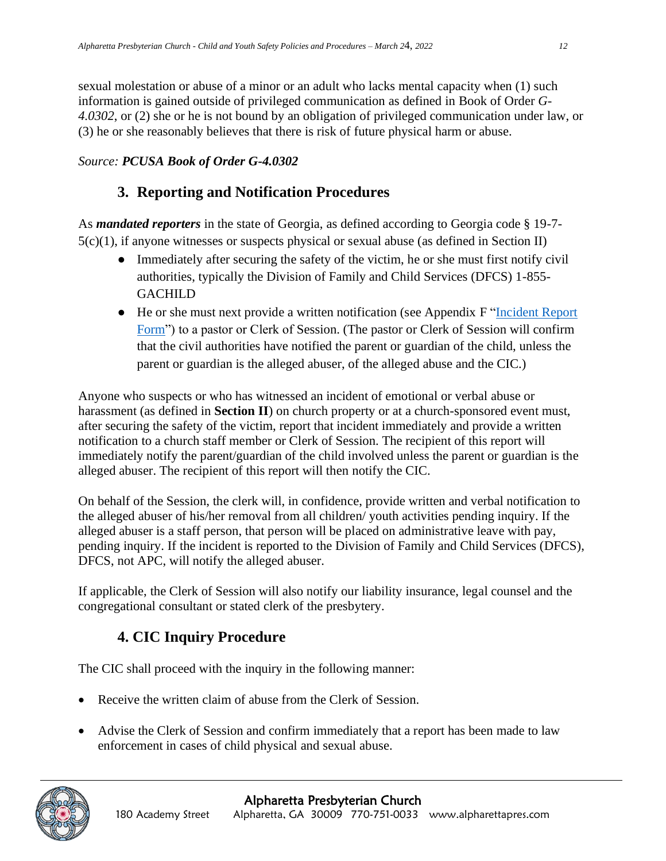sexual molestation or abuse of a minor or an adult who lacks mental capacity when (1) such information is gained outside of privileged communication as defined in Book of Order *G-4.0302*, or (2) she or he is not bound by an obligation of privileged communication under law, or (3) he or she reasonably believes that there is risk of future physical harm or abuse.

#### *Source: PCUSA Book of Order G-4.0302*

#### **3. Reporting and Notification Procedures**

As *mandated reporters* in the state of Georgia, as defined according to Georgia code § 19-7- 5(c)(1), if anyone witnesses or suspects physical or sexual abuse (as defined in Section II)

- Immediately after securing the safety of the victim, he or she must first notify civil authorities, typically the Division of Family and Child Services (DFCS) 1-855- **GACHILD**
- He or she must next provide a written notification (see Appendix F "Incident Report [Form"](https://alpharettapres.sharepoint.com/Shared%20Documents/Children%27s%20Ministry/Child-Youth%20Safety/CYS%20Documents%20and%20Forms/Appendix%20G%20-%20Incident%20Report%20Form%20May%202019.pdf)) to a pastor or Clerk of Session. (The pastor or Clerk of Session will confirm that the civil authorities have notified the parent or guardian of the child, unless the parent or guardian is the alleged abuser, of the alleged abuse and the CIC.)

Anyone who suspects or who has witnessed an incident of emotional or verbal abuse or harassment (as defined in **Section II**) on church property or at a church-sponsored event must, after securing the safety of the victim, report that incident immediately and provide a written notification to a church staff member or Clerk of Session. The recipient of this report will immediately notify the parent/guardian of the child involved unless the parent or guardian is the alleged abuser. The recipient of this report will then notify the CIC.

On behalf of the Session, the clerk will, in confidence, provide written and verbal notification to the alleged abuser of his/her removal from all children/ youth activities pending inquiry. If the alleged abuser is a staff person, that person will be placed on administrative leave with pay, pending inquiry. If the incident is reported to the Division of Family and Child Services (DFCS), DFCS, not APC, will notify the alleged abuser.

If applicable, the Clerk of Session will also notify our liability insurance, legal counsel and the congregational consultant or stated clerk of the presbytery.

## **4. CIC Inquiry Procedure**

The CIC shall proceed with the inquiry in the following manner:

- Receive the written claim of abuse from the Clerk of Session.
- Advise the Clerk of Session and confirm immediately that a report has been made to law enforcement in cases of child physical and sexual abuse.

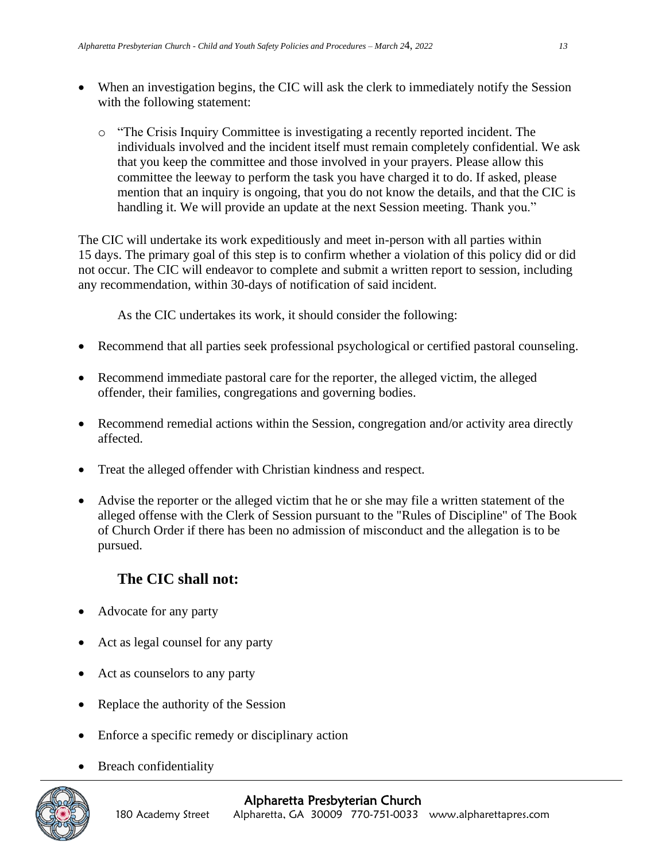- When an investigation begins, the CIC will ask the clerk to immediately notify the Session with the following statement:
	- o "The Crisis Inquiry Committee is investigating a recently reported incident. The individuals involved and the incident itself must remain completely confidential. We ask that you keep the committee and those involved in your prayers. Please allow this committee the leeway to perform the task you have charged it to do. If asked, please mention that an inquiry is ongoing, that you do not know the details, and that the CIC is handling it. We will provide an update at the next Session meeting. Thank you."

The CIC will undertake its work expeditiously and meet in-person with all parties within 15 days. The primary goal of this step is to confirm whether a violation of this policy did or did not occur. The CIC will endeavor to complete and submit a written report to session, including any recommendation, within 30-days of notification of said incident.

As the CIC undertakes its work, it should consider the following:

- Recommend that all parties seek professional psychological or certified pastoral counseling.
- Recommend immediate pastoral care for the reporter, the alleged victim, the alleged offender, their families, congregations and governing bodies.
- Recommend remedial actions within the Session, congregation and/or activity area directly affected.
- Treat the alleged offender with Christian kindness and respect.
- Advise the reporter or the alleged victim that he or she may file a written statement of the alleged offense with the Clerk of Session pursuant to the "Rules of Discipline" of The Book of Church Order if there has been no admission of misconduct and the allegation is to be pursued.

### **The CIC shall not:**

- Advocate for any party
- Act as legal counsel for any party
- Act as counselors to any party
- Replace the authority of the Session
- Enforce a specific remedy or disciplinary action
- **Breach confidentiality**

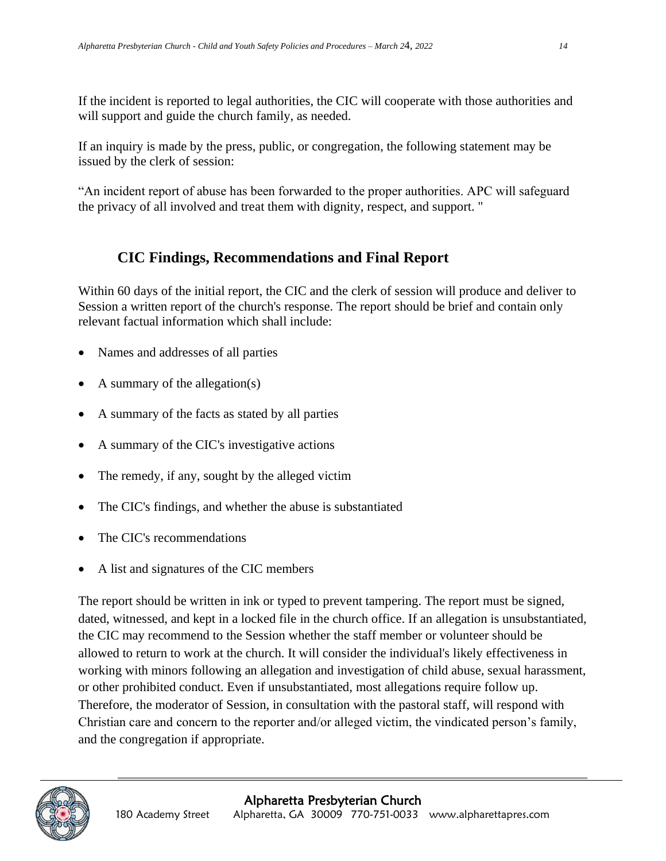If the incident is reported to legal authorities, the CIC will cooperate with those authorities and will support and guide the church family, as needed.

If an inquiry is made by the press, public, or congregation, the following statement may be issued by the clerk of session:

"An incident report of abuse has been forwarded to the proper authorities. APC will safeguard the privacy of all involved and treat them with dignity, respect, and support. "

#### **CIC Findings, Recommendations and Final Report**

Within 60 days of the initial report, the CIC and the clerk of session will produce and deliver to Session a written report of the church's response. The report should be brief and contain only relevant factual information which shall include:

- Names and addresses of all parties
- A summary of the allegation(s)
- A summary of the facts as stated by all parties
- A summary of the CIC's investigative actions
- The remedy, if any, sought by the alleged victim
- The CIC's findings, and whether the abuse is substantiated
- The CIC's recommendations
- A list and signatures of the CIC members

The report should be written in ink or typed to prevent tampering. The report must be signed, dated, witnessed, and kept in a locked file in the church office. If an allegation is unsubstantiated, the CIC may recommend to the Session whether the staff member or volunteer should be allowed to return to work at the church. It will consider the individual's likely effectiveness in working with minors following an allegation and investigation of child abuse, sexual harassment, or other prohibited conduct. Even if unsubstantiated, most allegations require follow up. Therefore, the moderator of Session, in consultation with the pastoral staff, will respond with Christian care and concern to the reporter and/or alleged victim, the vindicated person's family, and the congregation if appropriate.

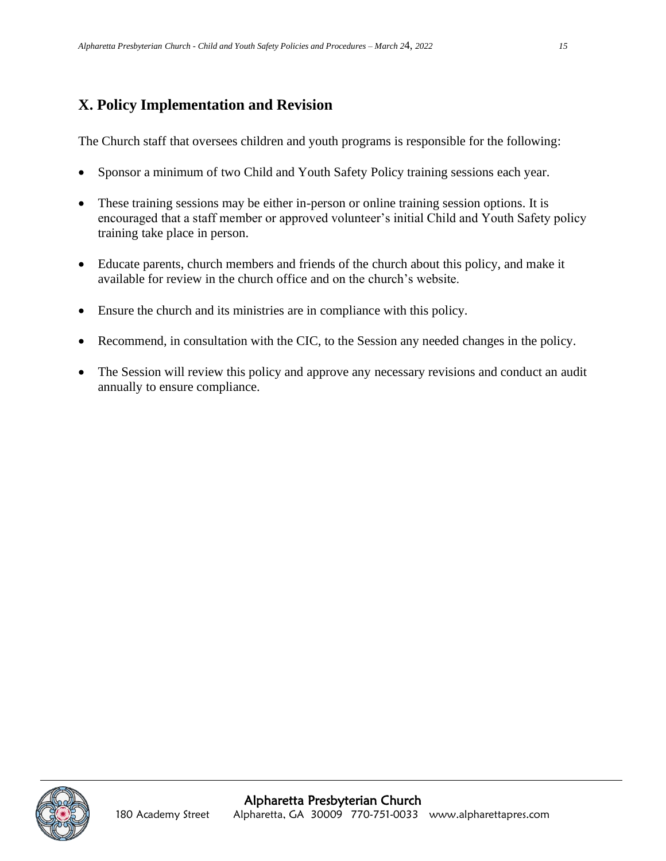## **X. Policy Implementation and Revision**

The Church staff that oversees children and youth programs is responsible for the following:

- Sponsor a minimum of two Child and Youth Safety Policy training sessions each year.
- These training sessions may be either in-person or online training session options. It is encouraged that a staff member or approved volunteer's initial Child and Youth Safety policy training take place in person.
- Educate parents, church members and friends of the church about this policy, and make it available for review in the church office and on the church's website.
- Ensure the church and its ministries are in compliance with this policy.
- Recommend, in consultation with the CIC, to the Session any needed changes in the policy.
- The Session will review this policy and approve any necessary revisions and conduct an audit annually to ensure compliance.